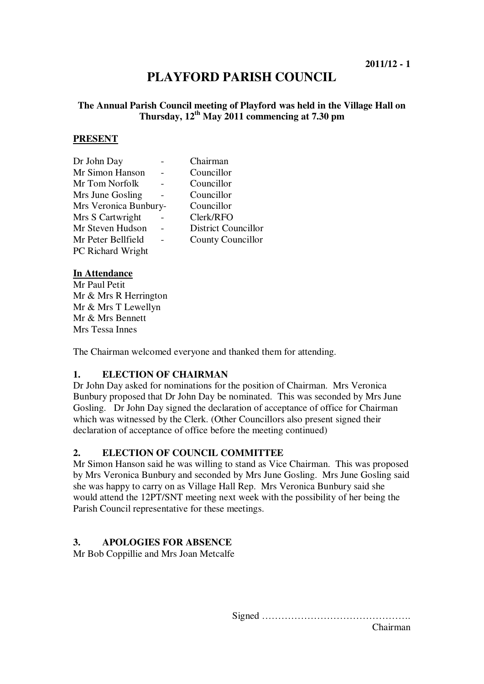# **PLAYFORD PARISH COUNCIL**

## **The Annual Parish Council meeting of Playford was held in the Village Hall on Thursday, 12th May 2011 commencing at 7.30 pm**

#### **PRESENT**

| Dr John Day           | Chairman                   |
|-----------------------|----------------------------|
| Mr Simon Hanson       | Councillor                 |
| Mr Tom Norfolk        | Councillor                 |
| Mrs June Gosling      | Councillor                 |
| Mrs Veronica Bunbury- | Councillor                 |
| Mrs S Cartwright      | Clerk/RFO                  |
| Mr Steven Hudson      | <b>District Councillor</b> |
| Mr Peter Bellfield    | <b>County Councillor</b>   |
| PC Richard Wright     |                            |
|                       |                            |

#### **In Attendance**

Mr Paul Petit Mr & Mrs R Herrington Mr & Mrs T Lewellyn Mr & Mrs Bennett Mrs Tessa Innes

The Chairman welcomed everyone and thanked them for attending.

## **1. ELECTION OF CHAIRMAN**

Dr John Day asked for nominations for the position of Chairman. Mrs Veronica Bunbury proposed that Dr John Day be nominated. This was seconded by Mrs June Gosling. Dr John Day signed the declaration of acceptance of office for Chairman which was witnessed by the Clerk. (Other Councillors also present signed their declaration of acceptance of office before the meeting continued)

## **2. ELECTION OF COUNCIL COMMITTEE**

Mr Simon Hanson said he was willing to stand as Vice Chairman. This was proposed by Mrs Veronica Bunbury and seconded by Mrs June Gosling. Mrs June Gosling said she was happy to carry on as Village Hall Rep. Mrs Veronica Bunbury said she would attend the 12PT/SNT meeting next week with the possibility of her being the Parish Council representative for these meetings.

## **3. APOLOGIES FOR ABSENCE**

Mr Bob Coppillie and Mrs Joan Metcalfe

Signed ……………………………………….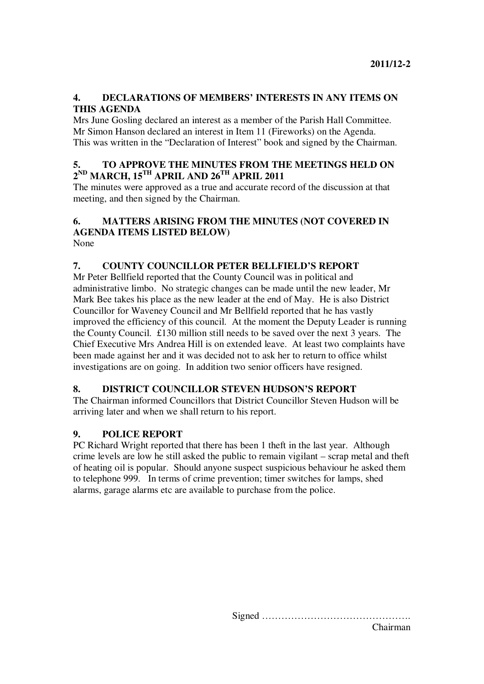## **4. DECLARATIONS OF MEMBERS' INTERESTS IN ANY ITEMS ON THIS AGENDA**

Mrs June Gosling declared an interest as a member of the Parish Hall Committee. Mr Simon Hanson declared an interest in Item 11 (Fireworks) on the Agenda. This was written in the "Declaration of Interest" book and signed by the Chairman.

## **5. TO APPROVE THE MINUTES FROM THE MEETINGS HELD ON 2 ND MARCH, 15TH APRIL AND 26TH APRIL 2011**

The minutes were approved as a true and accurate record of the discussion at that meeting, and then signed by the Chairman.

#### **6. MATTERS ARISING FROM THE MINUTES (NOT COVERED IN AGENDA ITEMS LISTED BELOW)**  None

## **7. COUNTY COUNCILLOR PETER BELLFIELD'S REPORT**

Mr Peter Bellfield reported that the County Council was in political and administrative limbo. No strategic changes can be made until the new leader, Mr Mark Bee takes his place as the new leader at the end of May. He is also District Councillor for Waveney Council and Mr Bellfield reported that he has vastly improved the efficiency of this council. At the moment the Deputy Leader is running the County Council. £130 million still needs to be saved over the next 3 years. The Chief Executive Mrs Andrea Hill is on extended leave. At least two complaints have been made against her and it was decided not to ask her to return to office whilst investigations are on going. In addition two senior officers have resigned.

## **8. DISTRICT COUNCILLOR STEVEN HUDSON'S REPORT**

The Chairman informed Councillors that District Councillor Steven Hudson will be arriving later and when we shall return to his report.

## **9. POLICE REPORT**

PC Richard Wright reported that there has been 1 theft in the last year. Although crime levels are low he still asked the public to remain vigilant – scrap metal and theft of heating oil is popular. Should anyone suspect suspicious behaviour he asked them to telephone 999. In terms of crime prevention; timer switches for lamps, shed alarms, garage alarms etc are available to purchase from the police.

> Signed ………………………………………. Chairman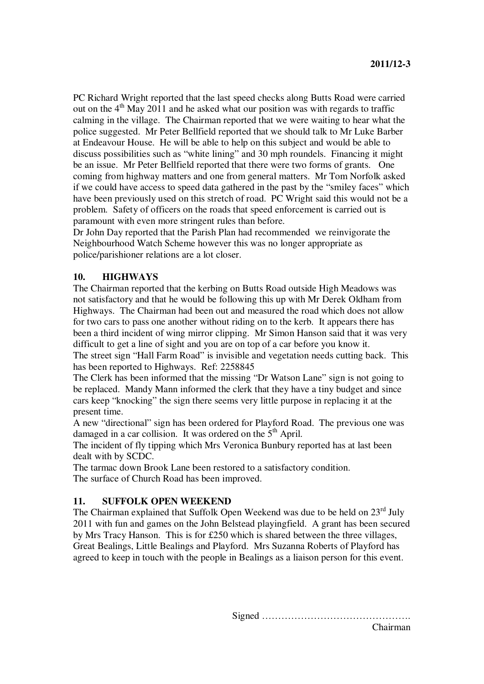PC Richard Wright reported that the last speed checks along Butts Road were carried out on the  $4<sup>th</sup>$  May 2011 and he asked what our position was with regards to traffic calming in the village. The Chairman reported that we were waiting to hear what the police suggested. Mr Peter Bellfield reported that we should talk to Mr Luke Barber at Endeavour House. He will be able to help on this subject and would be able to discuss possibilities such as "white lining" and 30 mph roundels. Financing it might be an issue. Mr Peter Bellfield reported that there were two forms of grants. One coming from highway matters and one from general matters. Mr Tom Norfolk asked if we could have access to speed data gathered in the past by the "smiley faces" which have been previously used on this stretch of road. PC Wright said this would not be a problem. Safety of officers on the roads that speed enforcement is carried out is paramount with even more stringent rules than before.

Dr John Day reported that the Parish Plan had recommended we reinvigorate the Neighbourhood Watch Scheme however this was no longer appropriate as police/parishioner relations are a lot closer.

## **10. HIGHWAYS**

The Chairman reported that the kerbing on Butts Road outside High Meadows was not satisfactory and that he would be following this up with Mr Derek Oldham from Highways. The Chairman had been out and measured the road which does not allow for two cars to pass one another without riding on to the kerb. It appears there has been a third incident of wing mirror clipping. Mr Simon Hanson said that it was very difficult to get a line of sight and you are on top of a car before you know it.

The street sign "Hall Farm Road" is invisible and vegetation needs cutting back. This has been reported to Highways. Ref: 2258845

The Clerk has been informed that the missing "Dr Watson Lane" sign is not going to be replaced. Mandy Mann informed the clerk that they have a tiny budget and since cars keep "knocking" the sign there seems very little purpose in replacing it at the present time.

A new "directional" sign has been ordered for Playford Road. The previous one was damaged in a car collision. It was ordered on the 5<sup>th</sup> April.

The incident of fly tipping which Mrs Veronica Bunbury reported has at last been dealt with by SCDC.

The tarmac down Brook Lane been restored to a satisfactory condition. The surface of Church Road has been improved.

## **11. SUFFOLK OPEN WEEKEND**

The Chairman explained that Suffolk Open Weekend was due to be held on 23<sup>rd</sup> July 2011 with fun and games on the John Belstead playingfield. A grant has been secured by Mrs Tracy Hanson. This is for £250 which is shared between the three villages, Great Bealings, Little Bealings and Playford. Mrs Suzanna Roberts of Playford has agreed to keep in touch with the people in Bealings as a liaison person for this event.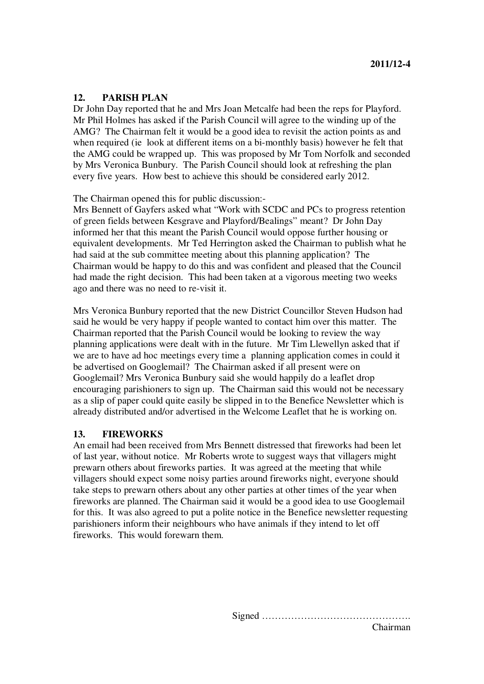#### **12. PARISH PLAN**

Dr John Day reported that he and Mrs Joan Metcalfe had been the reps for Playford. Mr Phil Holmes has asked if the Parish Council will agree to the winding up of the AMG? The Chairman felt it would be a good idea to revisit the action points as and when required (ie look at different items on a bi-monthly basis) however he felt that the AMG could be wrapped up. This was proposed by Mr Tom Norfolk and seconded by Mrs Veronica Bunbury. The Parish Council should look at refreshing the plan every five years. How best to achieve this should be considered early 2012.

The Chairman opened this for public discussion:-

Mrs Bennett of Gayfers asked what "Work with SCDC and PCs to progress retention of green fields between Kesgrave and Playford/Bealings" meant? Dr John Day informed her that this meant the Parish Council would oppose further housing or equivalent developments. Mr Ted Herrington asked the Chairman to publish what he had said at the sub committee meeting about this planning application? The Chairman would be happy to do this and was confident and pleased that the Council had made the right decision. This had been taken at a vigorous meeting two weeks ago and there was no need to re-visit it.

Mrs Veronica Bunbury reported that the new District Councillor Steven Hudson had said he would be very happy if people wanted to contact him over this matter. The Chairman reported that the Parish Council would be looking to review the way planning applications were dealt with in the future. Mr Tim Llewellyn asked that if we are to have ad hoc meetings every time a planning application comes in could it be advertised on Googlemail? The Chairman asked if all present were on Googlemail? Mrs Veronica Bunbury said she would happily do a leaflet drop encouraging parishioners to sign up. The Chairman said this would not be necessary as a slip of paper could quite easily be slipped in to the Benefice Newsletter which is already distributed and/or advertised in the Welcome Leaflet that he is working on.

#### **13. FIREWORKS**

An email had been received from Mrs Bennett distressed that fireworks had been let of last year, without notice. Mr Roberts wrote to suggest ways that villagers might prewarn others about fireworks parties. It was agreed at the meeting that while villagers should expect some noisy parties around fireworks night, everyone should take steps to prewarn others about any other parties at other times of the year when fireworks are planned. The Chairman said it would be a good idea to use Googlemail for this. It was also agreed to put a polite notice in the Benefice newsletter requesting parishioners inform their neighbours who have animals if they intend to let off fireworks. This would forewarn them.

> Signed ………………………………………. Chairman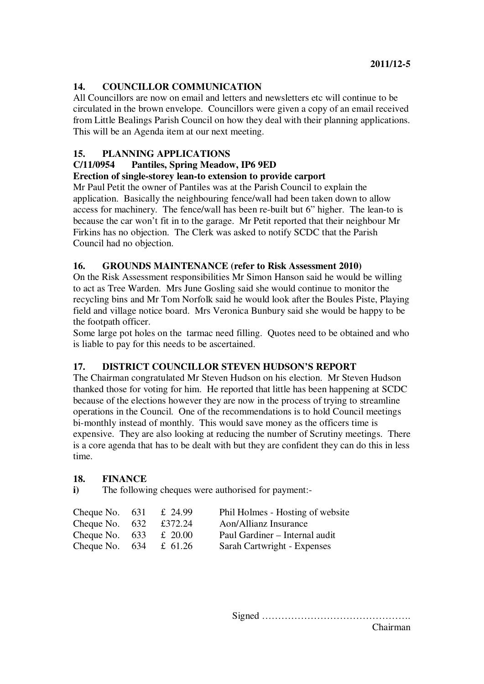## **14. COUNCILLOR COMMUNICATION**

All Councillors are now on email and letters and newsletters etc will continue to be circulated in the brown envelope. Councillors were given a copy of an email received from Little Bealings Parish Council on how they deal with their planning applications. This will be an Agenda item at our next meeting.

## **15. PLANNING APPLICATIONS**

## **C/11/0954 Pantiles, Spring Meadow, IP6 9ED**

## **Erection of single-storey lean-to extension to provide carport**

Mr Paul Petit the owner of Pantiles was at the Parish Council to explain the application. Basically the neighbouring fence/wall had been taken down to allow access for machinery. The fence/wall has been re-built but 6" higher. The lean-to is because the car won't fit in to the garage. Mr Petit reported that their neighbour Mr Firkins has no objection. The Clerk was asked to notify SCDC that the Parish Council had no objection.

#### **16. GROUNDS MAINTENANCE (refer to Risk Assessment 2010)**

On the Risk Assessment responsibilities Mr Simon Hanson said he would be willing to act as Tree Warden. Mrs June Gosling said she would continue to monitor the recycling bins and Mr Tom Norfolk said he would look after the Boules Piste, Playing field and village notice board. Mrs Veronica Bunbury said she would be happy to be the footpath officer.

Some large pot holes on the tarmac need filling. Quotes need to be obtained and who is liable to pay for this needs to be ascertained.

## **17. DISTRICT COUNCILLOR STEVEN HUDSON'S REPORT**

The Chairman congratulated Mr Steven Hudson on his election. Mr Steven Hudson thanked those for voting for him. He reported that little has been happening at SCDC because of the elections however they are now in the process of trying to streamline operations in the Council. One of the recommendations is to hold Council meetings bi-monthly instead of monthly. This would save money as the officers time is expensive. They are also looking at reducing the number of Scrutiny meetings. There is a core agenda that has to be dealt with but they are confident they can do this in less time.

## **18. FINANCE**

**i**) The following cheques were authorised for payment:-

| Cheque No. $631$ | £ 24.99 | Phil Holmes - Hosting of website |
|------------------|---------|----------------------------------|
| Cheque No. $632$ | £372.24 | <b>Aon/Allianz Insurance</b>     |
| Cheque No. $633$ | £ 20.00 | Paul Gardiner – Internal audit   |
| Cheque No. 634   | £ 61.26 | Sarah Cartwright - Expenses      |

Signed ………………………………………. Chairman